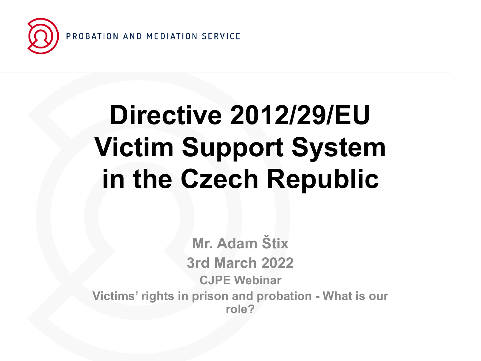

## **Directive 2012/29/EU Victim Support System in the Czech Republic**

**Mr. Adam Štix 3rd March 2022 CJPE Webinar Victims' rights in prison and probation - What is our role?**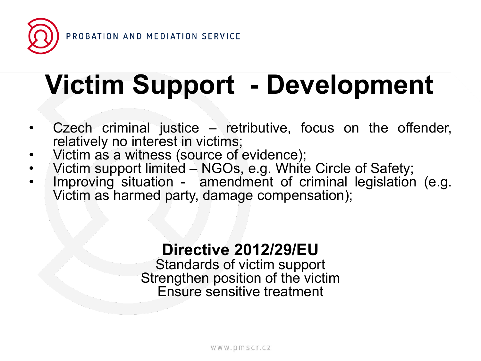

## **Victim Support - Development**

- Czech criminal justice  $-$  retributive, focus on the offender, relatively no interest in victims;
- Victim as a witness (source of evidence);
- Victim support limited NGOs, e.g. White Circle of Safety;
- Improving situation amendment of criminal legislation (e.g. Victim as harmed party, damage compensation);

### **Directive 2012/29/EU**

Standards of victim support Strengthen position of the victim Ensure sensitive treatment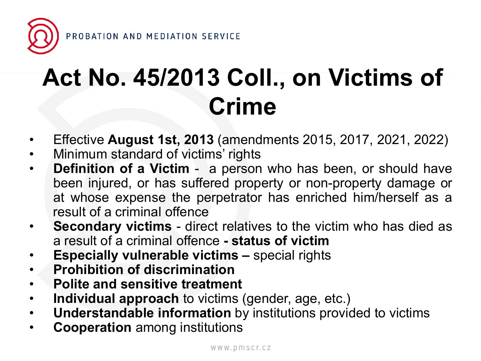

## **Act No. 45/2013 Coll., on Victims of Crime**

- Effective **August 1st, 2013** (amendments 2015, 2017, 2021, 2022)
- Minimum standard of victims' rights
- **Definition of a Victim** a person who has been, or should have been injured, or has suffered property or non-property damage or at whose expense the perpetrator has enriched him/herself as a result of a criminal offence
- **Secondary victims** direct relatives to the victim who has died as a result of a criminal offence **- status of victim**
- **Especially vulnerable victims –** special rights
- **Prohibition of discrimination**
- **Polite and sensitive treatment**
- **Individual approach** to victims (gender, age, etc.)
- **Understandable information** by institutions provided to victims
- **Cooperation** among institutions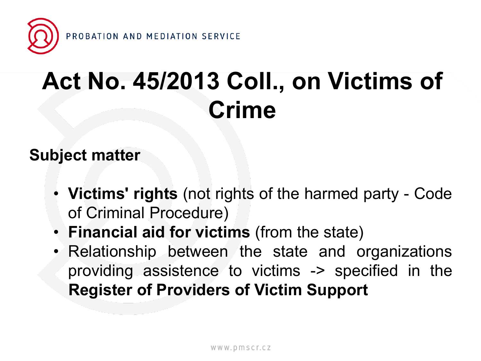

## **Act No. 45/2013 Coll., on Victims of Crime**

### **Subject matter**

- **Victims' rights** (not rights of the harmed party Code of Criminal Procedure)
- **Financial aid for victims** (from the state)
- Relationship between the state and organizations providing assistence to victims -> specified in the **Register of Providers of Victim Support**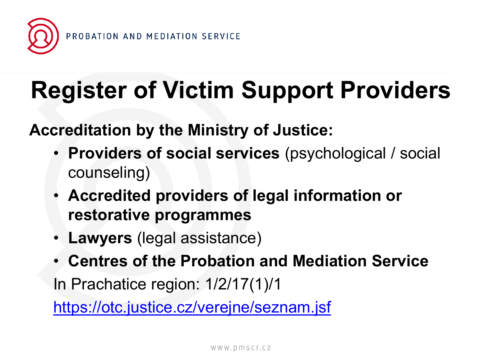

## **Register of Victim Support Providers**

### **Accreditation by the Ministry of Justice:**

- **Providers of social services** (psychological / social counseling)
- **Accredited providers of legal information or restorative programmes**
- **Lawyers** (legal assistance)
- **Centres of the Probation and Mediation Service** In Prachatice region: 1/2/17(1)/1

<https://otc.justice.cz/verejne/seznam.jsf>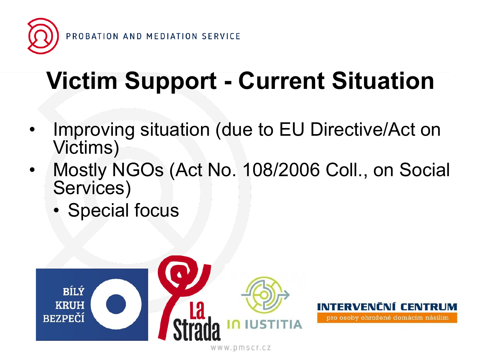

## **Victim Support - Current Situation**

- Improving situation (due to EU Directive/Act on Victims)
- Mostly NGOs (Act No. 108/2006 Coll., on Social Services)
	- Special focus



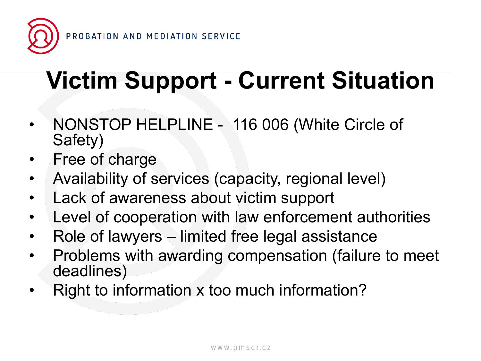

## **Victim Support - Current Situation**

- NONSTOP HELPLINE 116 006 (White Circle of Safety)
- Free of charge
- Availability of services (capacity, regional level)
- Lack of awareness about victim support
- Level of cooperation with law enforcement authorities
- Role of lawyers limited free legal assistance
- Problems with awarding compensation (failure to meet deadlines)
- Right to information x too much information?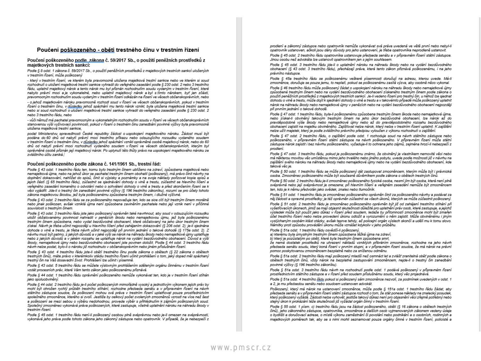### Poučení poškozeného - oběti trestného činu v trestním řízení

### Poučení poškozeného podle\_zákona č. 59/2017 Sb., o použití peněžních prostředků z maietkových trestních sankcí:

Podle § 8 odst. 1 zákona č. 59/2017 Sb., o použití peněžních prostředků z majetkových trestních sankcí uložených v trestním řízení, může poškozený

- který v trestním řízení, ve kterém byla pravomocně uložena majetková trestní sankce nebo ve kterém si soud rozhodnutí o uložení majetkové trestní sankce vyhradil do veřejného zasedání podle 6 230 odst. 2 nebo 3 trestního řádu, uplatnil majetkový nárok a tento nárok mu byl přiznán rozhodnutím soudu vydaným v trestním řízení, které nabylo právní moci a je vykonatelné, nebo uplatnil majetkový nárok a byl s tímto nárokem, byť jen zčásti, pravomocným rozhodnutím soudu vydaným v trestním řízení odkázán na řízení ve věcech občanskoprávních, nebo

- o jehož majetkovém nároku pravomocně rozhodl soud v řízení ve věcech občanskoprávních, pokud v trestním řízení o trestném činu, v důsledku jehož spáchání mu tento nárok vznikl, byla uložena majetková trestní sankce nebo si soud rozhodnutí o uložení majetkové trestní sankce vyhradil do veřejného zasedání podle § 230 odst. 2 nebo 3 trestního řádu, nebo

- vůči němuž má pachatel pravomocným a vykonatelným rozhodnutím soudu v řízení ve věcech občanskoprávních stanovenou výši vyživovací povinnosti, pokud v řízení o trestném činu zanedbání povinné výživy byla pravomocně uložena majetková trestní sankce.

podat Ministerstvu spravedlnosti České republiky žádost o uspokojení majetkového nároku. Žádost musí být podána do 60 dnů od nabytí právní moci trestního příkazu nebo odsuzujícího rozsudku vydaného soudem v trestním řízení o trestném činu, v <u>důsledku</u> jehož spáchání vznikl oprávněné osobě majetkový nárok, nebo do 60 dnů od nabytí právní moci rozhodnutí vydaného soudem v řízení ve věcech občanskoprávních, kterým byl oprávněné osobě přiznán její majetkový nárok. Po uplynutí této lhůty právo na uspokojení majetkového nároku ze zyláštního účtu zaniká l

### Poučení poškozeného podle zákona č. 141/1961 Sb., trestní řád:

Podle § 43 odst. 1 trestního řádu ten, komu bylo trestným činem ublíženo na zdraví, způsobena majetková nebo nemajetková újma, nebo na jehož úkor se pachatel trestným činem obohatil (poškozený), má právo činit návrhy na doplnění dokazování, nahlížet do spisů, činit si výpisky a poznámky a na svoje náklady pořizovat kopie spisů a jejich částí (§ 65 trestního řádu), zúčastnit se sjednávání dohody o vině a trestu, zúčastnit se hlavního ličení a veřejného zasedání konaného o odvolání nebo o schválení dohody o vině a trestu a před skončením řízení se k věcí vyjádřit. Jde-li o trestný čin zanedbání povinné výživy (§ 196 trestního zákoníku), rozumí se pro účely tohoto zákona majetkovou škodou, jež byla poškozenému způsobena trestným činem, i dlužné výživné.

Podle § 43 odst. 2 trestního řádu se za poškozeného nepovažuje ten, kdo se sice cítí být trestným činem morálně nebo jinak poškozen, avšak vzniklá újma není způsobena zaviněním pachatele nebo její vznik není v přičinné souvislosti s trestným činem.

Podle § 43 odst. 3 trestního řádu jste jako poškozený oprávněn také navrhnout, aby soud v odsuzujícím rozsudku uložil obžalovanému povinnost nahradit v penězích škodu nebo nemajetkovou újmu, jež byla poškozenému trestným činem způsobena, nebo vydat bezdůvodné obohacení, které obžalovaný na jeho úkor trestným činem získal. Návrh je třeba učinit nejpozději u hlavního líčení před zahájením dokazování (§ 206 odst. 2); je-lí sjednána dohoda o vině a trestu, je třeba návrh učinit nejpozději při prvním jednání o takové dohodě (§ 175a odst. 2). Z návrhu musí být patmo, z jakých důvodů a v jaké výši se nárok na náhradu škody nebo nemajetkové újmy uplatňuje nebo z iakých důvodů a v iakém rozsahu se uplatňuje nárok na vydání bezdůvodného obohacení. Důvod a výši škody, nemajetkové újmy nebo bezdůvodného obohacení jste povinen doložit. Podle § 44 odst. 3 trestního řádu návrh nelze podat, bylo-li o nároku již rozhodnuto v občanskoprávním nebo jiném přislušném řízení.

Podle § 43 odst. 4 trestního řádu iste-li obětí trestného činu podle zákona o obětech (§ 22 zákona o obětech trestných činů), máte právo v kterémkoliv stádiu trestního řízení učinit prohlášení o tom, jaký dopad měl spáchaný trestný čin na Váš dosavadní život. Prohlášení lze učinit i písemně.

Podle § 43 odst. 5 trestního řádu se můžete výslovným prohlášením sděleným orgánu činnému v trestním řízení vzdát procesních práv. které Vám tento zákon jako poškozenému přiznává.

Podle § 44 odst. 1 trestního řádu oprávnění poškozeného nemůže vykonávat ten, kdo je v trestním řízení stíhán jako spoluobviněný.

Podle § 44 odst. 2 trestního řádu je-li počet poškozených mimořádně vysoký a jednotlivým výkonem jejich práv by mohl být ohrožen rychlý průběh trestního stíhání, rozhodne předseda senátu a v připravném řízení na návrh státního zástupce soudce, že poškození mohou svá práva v trestním řízení uplatňovat pouze prostřednictvím společného zmocněnce, kterého si zvolí. Jestliže by celkový počet zvolených zmocněnců vzrostl na více než šest a poškození se mezi sebou o výběru nedohodnou, provede výběr s přihlédnutím k zájmům poškozených soud. Společný zmocněnec vykonává práva poškozených, které zastupuje, včetně uplatnění nároku na náhradu škody v trestním řízení.

Podle § 45 odst. 1 trestního řádu není-li poškozený osobou plně svéprávnou nebo je-li omezen na svéprávnosti, vykonává jeho práva podle tohoto zákona jeho zákonný zástupce nebo opatrovník. V případě, že je nebezpečí z

prodlení a zákonný zástupce nebo opatrovník nemůže vykonávat svá práva uvedená ve větě první nebo nebyl-li opatrovník ustanoven, ačkoli jsou dány důvody pro jeho ustanovení, je třeba opatrovníka neprodleně ustanovit.

Podle § 45 odst. 2 trestního řádu opatrovníka ustanovuje předseda senátu a v připravném řízení státní zástupce. Jinou osobu než advokáta lze ustanovit opatrovníkem jen s jejím souhlasem.

Podle § 45 odst. 3 trestního řádu jde-li o uplatnění nároku na náhradu škody nebo na vydání bezdůvodného obohacení (§ 43 odst. 3 trestního řádu), přecházejí práva, která tento zákon přiznává poškozenému, i na jeho právního nástupce.

Podle 6 45a trestního řádu se poškozenému veškeré písemnosti doručují na adresu. kterou uvede. Má-li zmocněnce, doručuje se pouze jemu, to neplatí, pokud se poškozenému zasílá výzva, aby osobně něco vykonal.

Podle 6 46 trestního řádu může poškozený žádat o uspokojení nároku na náhradu škody nebo nemajetkové újmy způsobené trestným činem nebo na vydání bezdůvodného obohacení získaného trestným činem podle zákona o použití peněžních prostředků z majetkových trestních sankcí. Je-li vedeno řízení pro trestný čin, u něhož lze sjednat dohodu o vině a trestu, může dojít k sjednání dohody o vině a trestu a v takovémto připadě může poškozený uolatnit nárok na náhradu škody nebo nemajetkové újmy v penězích nebo na vydání bezdůvodného obohacení nejpozději při prvním jednání o takové dohodě

Podle § 47 odst. 1 trestního řádu, byla-li poškozenému způsobena trestným činem škoda nebo nemajetková újma, nebo získal-li obviněný takovým trestným činem na jeho úkor bezdůvodné obohacení. Ize nárok až do pravděpodobné výše škody nebo nemajetkové újmy nebo až do pravděpodobného rozsahu bezdůvodného obohacení zajistit na majetku obviněného. Zajišťovat nelze nárok, který nelze v trestním řízení uplatnit. K zajištění nelze užít majetek, který je podle zvláštního právního předpisu vyloučen z výkonu rozhodnutí o zajištění.

Podle § 47 odst. 2 trestního řádu, o zajištění podle odst. 1 rozhoduje soud na návrh státního zástupce nebo poškozeného. v připravném řízení státní zástupce na návrh poškozeného. V připravném řízení může státní zástupce nárok zajistit i bez návrhu poškozeného, vyžaduje-li to ochrana jeho zájmů, zejména hrozí-li nebezpečí z prodlení.

Podle § 47 odst. 3 trestního řádu, pokud je poškozenému známo, že obviněný je vlastníkem nemovité věci nebo má některou movitou věc umístěnou mimo jeho trvalého nebo jiného pobytu, uvede podle možnosti již v návrhu na zajištění svého nároku na náhradu škody nebo nemajetkové újmy nebo na vydání bezdůvodného obohacení, kde taková věc je.

Podle 6 50 odst. 1 trestního řádu se může poškozený dát zastupovat zmocněncem, kterým může být i právnická osoba. Zmocněnec poškozeného může být současně důvěmíkem podle zákona o obětech trestných činů.

Podle 6 50 odst. 2 trestního řádu je-li zmocněnec poškozeného fyzická osoba, nesmí jím být osoba, která není plně svéprávná nebo její svéprávnost je omezena; při hlavním líčení a veřejném zasedání nemůže být zmocněncem ten, kdo je k němu předvolán jako svědek, znalec nebo tlumočník.

Podle § 51 odst. 1 trestního řádu je zmocněnec poškozeného oprávněn činit za poškozeného návrhy a podávat za něj žádosti a opravné prostředky, je též oprávněn zúčastnit se všech úkonů, kterých se může zúčastnit poškozený

Podle § 51 odst. 2 trestního řádu je zmocněnec poškozeného oprávněn být již od zahájení trestního stíhání při vyšetřovacích úkonech, jimiž se mají objasnit skutečnosti důležité pro uplatnění práv osob, které zastupuje, a jejichž výsledek může být použit jako důkaz v řízení před soudem, ledaže by přitomnosti zmooněnce mohl být zmařen účel trestního řízení nebo nelze provedení úkonu odložit a vyrozumění o něm zajistit. Může obviněnému i jiným vyslýchaným osobám klást otázky, avšak teprve tehdy, až policejní orgán výslech skončí a udělí mu k tomu slovo. Námitky proti způsobu provádění úkonu může vznášet kdykoliv v jeho průběhu.

Podle § 51a odst. 1 trestního řádu osvědčí-li poškozený.

a) kterému byla úmyslným trestným činem způsobena těžká újma na zdraví,

b) který je pozůstalým po oběti. které byla trestným činem způsobena smrt.

že nemá dostatek prostředků na uhrazení nákladů vzniklých přibráním zmocněnce, rozhodne na jeho návrh předseda senátu soudu, který koná řízení v prvním stupni, a v přípravném řízení soudce, že má nárok na právní pomoc poskytovanou zmocněncem bezplatně nebo za sníženou odměnu.

Podle § 51a odst. 2 trestního řádu mají poškozený mladší než osmnáct let a zvlášť zranitelná oběť podle zákona o obětech trestných činů, vždy nárok na bezplatné zastupování zmocněncem, nejde-li o trestný čin zanedbání povinné výživy (§ 196 trestního zákoníku).

Podle § 51a odst. 3 trestního řádu návrh na rozhodnutí podle odst. 1 podává poškozený v připravném řízení prostřednictvím státního zástupce a v řízení před soudem příslušnému soudu, který věc projednává.

Podle § 51a odst. 4 trestního řádu pokud si poškozený sám zmocněnce nezvolí, za podmínek uvedených v odst. 1 a 2, je mu předsedou senátu nebo soudcem ustanoven advokát.

Poškozený, který má nárok na ustanovení zmocněnce, může podle § 151a odst. 1 trestního řádu žádat, aby předseda senátu a v přípravném řízení státní zástupce rozhodl o tom, že stát ponese náklady na znalecký posudek, který poškozený vyžádá. Žádosti nelze vyhovět, jestliže takový důkaz není pro objasnění věci zřejmě potřebný nebo stejný úkon k prokázání téže skutečnosti již vyžádal orgán činný v trestním řízení.

Podle § 55 odst. 1 písm. c) trestního řádu jsou na žádost poškozeného, oběti (§ 16 zákona o obětech trestných činů), jeho zákonného zástupce, opatrovníka, zmocněnce a dalších osob vvimenovaných zákonem vedeny údaje o bydlišti a doručovací adrese, o místě výkonu zaměstnání či povolání nebo podnikání a o osobních, rodinných a majetkových poměrech tak, aby se s nimi mohli seznamovat pouze orgány činné v trestním řízení, policisté a

### WWW.pmscr.cz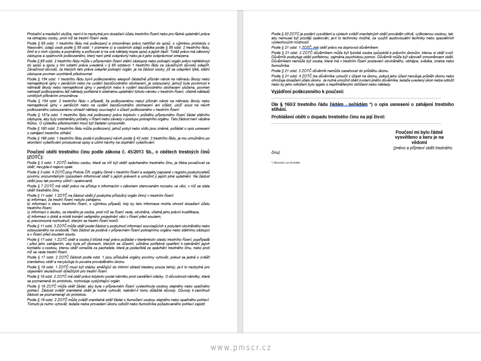Probační a mediační služba, není-li to nezbytné pro dosažení účelu trestního řízení nebo pro řádné uplatnění práva na obhajobu osoby, proti níž se trestní řízení vede.

Podle § 65 odst. 1 trestního řádu má poškozený a zmocněnec právo nahlížet do spisů, s výjimkou protokolu o hlasování, údajů osob podle 6 55 odst. 1 písmene c) a osobních údajů svědka podle 6 55 odst. 2 trestního řádu, činit si z nich výpisky a poznámky a pořizovat si na své náklady kopie spisů a jejich částí. Totéž právo má zákonný zástupce a opatrovník poškozeného, který není plně svéprávný nebo je-li jeho svéprávnost omezena.

Podle § 65 odst. 2 trestního řádu může v přípravném řízení státní zástupce nebo policejní orgán právo nahlédnout do spisů a spolu s tím ostatní práva uvedená v § 65 odstavci 1 trestního řádu ze závažných důvodů odepřit. Závažnost důvodů, ze kterých tato práva odepřel policejní orgán, je na žádost osoby, jíž se odepření týká, státní zástupce povinen urychlené přezkoumat.

Podle § 154 odst. 1 trestního řádu byl-li poškozenému alespoň částečně přiznán nárok na náhradu škody nebo nemajetkové újmy v penězích nebo na vydání bezdůvodného obohacení, je odsouzený, jemuž byla povinnost k náhradě škody nebo nemajetkové újmy v penězích nebo k vydání bezdůvodného obohacení uložena, povinen nahradit poškozenému též náklady potřebné k účelnému uplatnění tohoto nároku v trestním řízení, včetně nákladů vzniklých přibráním zmocněnce.

Podle § 154 odst. 2 trestního řádu v případě, že poškozenému nebyl přiznán nárok na náhradu škody nebo nemajetkové újmy v penězích nebo na vydání bezdůvodného obohacení ani zčásti, uloží soud na návrh poškozeného odsouzenému uhradit náklady související s účastí poškozeného v trestním řízení.

Podle § 157a odst. 1 trestního řádu má poškozený právo kdykoliv v průběhu připravného řízení žádat státního zástupce, aby byly odstraněny průtahy v řízení nebo závady v postupu policejního orgánu. Tato žádost není vázána lhůtou. O výsledku přezkoumání musí být žadatel vyrozuměn.

Podle § 160 odst. 2 trestního řádu může poškozený, jehož pobyt nebo sídlo jsou známé, požádat o opis usnesení o zahájení trestního stíhání.

Podle § 166 odst. 1 trestního řádu podá-li poškozený návrh podle § 43 odst. 3 trestního řádu, je mu umožněno po skončení vyšetřování prostudovat spisy a učinit návrhy na doplnění vyšetřování.

### Poučení oběti trestného činu podle zákona č. 45/2013 Sb., o obětech trestných činů (ZOTČ):

Podle 6 3 odst. 1 ZOTČ každou osobu, která se cítí být obětí spáchaného trestného činu, je třeba považovat za oběť, nevyjde-li najevo opak.

Podle § 3 odst. 4 ZOTČ jsou Policie ČR, orgány činné v trestním řízení a subjekty zapsané v registru poskytovatelů povinny srozumitelným způsobem informovat oběť o jejích právech a umožnit jí jejich plné uplatnění. Na žádost obětí jsou tak povinny učinit i opakovaně.

Podle § 7 ZOTČ má oběť právo na přístup k informacím v zákonem stanoveném rozsahu ve věci, v níž se stala obětí trestného činu.

Podle § 11 odst. 1 ZOTČ na žádost oběti jí poskytne příslušný orgán činný v trestním řízení:

a) informaci, že trestní řízení nebylo zahájeno, b) informaci o stavu trestního řízení, s výjimkou připadů, kdy by tato informace mohla ohrozit dosažení účelu trestního řízení.

c) informaci o skutku, ze kterého je osoba, proti níž se řízení vede, obviněna, včetně jeho právní kvalifikace, d) informaci o době a místě konání veřejného projednání věci v řízení před soudem.

e) pravomocné rozhodnutí, kterým se trestní řízení končí.

Podle § 11 odst. 3 ZOTČ může oběť podat žádost o poskytnutí informací souvisejících s pobytem obviněného nebo odsouzeného na svobodě. Tato žádost se podává v připravném řízení policejnímu orgánu nebo státnímu zástupci a v řízení před soudem soudu.

Podle § 17 odst. 1 ZOTČ oběť a osoba jí blízká mají právo požádat v kterémkoliv stadiu trestního řízení, popřipadě i před jeho zahájením, aby byla při úkonech, kterých se účastní, učiněna potřebná opatření k zabránění jejich kontaktu s osobou, kterou oběť označila za pachatele, která je podezřelá ze spáchání trestného činu, nebo proti níž se vede trestní řízení.

Podle § 17 odst. 2 ZOTČ žádosti podle odst. 1 jsou příslušné orgány povinny vyhovět, pokud se jedná o zvlášť zranitelnou oběť a nevylučuje to povaha prováděného úkonu.

Podle § 18 odst. 1 ZOTČ musí být otázky směřující do intimní oblasti kladeny pouze tehdy, je-li to nezbytné pro objasnění skutečností důležitých pro trestní řízení.

Podle § 18 odst. 2 ZOTČ má oběť právo kdykoliv podat námitku proti zaměření otázky. O důvodnosti námitky, která se poznamená do protokolu, rozhoduje vyslýchající orgán.

Podle § 19 ZOTČ může oběť žádat, aby byla v připravném řízení vyslechnuta osobou stejného nebo opačného pohlaví. Žádosti zvlášť zranitelné obětí je nutné vyhovět, nebrání-li tomu důležité důvody. Důvody k zamítnutí žádosti se poznamenají do protokolu.

Podle § 19 odst. 2 ZOTČ může zvlášť zranitelná oběť žádat o tlumočení osobou stejného nebo opačného pohlaví. Tomuto je nutno vyhovět, ledaže nelze provedení úkonu odložit nebo tlumočníka požadovaného pohlaví zajistit.

Podle § 20 ZOTČ je podání vysvětlení a výslech zvlášť zranitelných obětí prováděn citlivě, vyškolenou osobou, tak, aby nemusel být později opakován: je-li to technicky možné. za využití audiovizuální techniky nebo speciálních výslechových místností.

Podle § 21 odst. 1 ZOTČ, má oběť právo na doprovod důvěrníkem.

Podle § 21 odst. 2 ZOTČ důvěmíkem může být fyzická osoba způsobilá k právním úkonům, kterou si oběť zvolí. Důvěrník poskytuje oběti potřebnou, zejména psychickou pomoc. Důvěrník může být zároveň zmocněncem oběti. Důvěrníkem nemůže být osoba, která má v trestním řízení postavení obviněného, obháve, svědka, znalos nebo tlumočnika.

Podle § 21 odst. 3 ZOTČ důvěmík nemůže zasahovat do průběhu úkonu.

Podle 6 21 odst. 4 ZOTČ ize důvěrníka vvloučit z účasti na úkonu, pokud jeho účast narušuje průběh úkonu nebo , oraz 3 – 1 sasz a fizik a tartozott a magyar a szerepel a tartozott a tartozott a települészek a tartozott a<br>A tartozott a tartozott a tartozott a magyar a tartozott a tartozott a tartozott a tartozók a tartozott a tart nebo by jeho odložení bylo spjato s nepřiměřenými obtížemi nebo náklady.

### Vyjádření poškozeného k poučení:

Dle § 160/2 trestního řádu žádám - nežádám \*) o opis usnesení o zahájení trestního stíhání.

Prohlášení oběti o dopadu trestného činu na její život:

Poučení mi bvlo řádně vysvětleno a beru je na vědomí (iméno a příjmení oběti trestného

činu)

"I Nehodici se škrtněte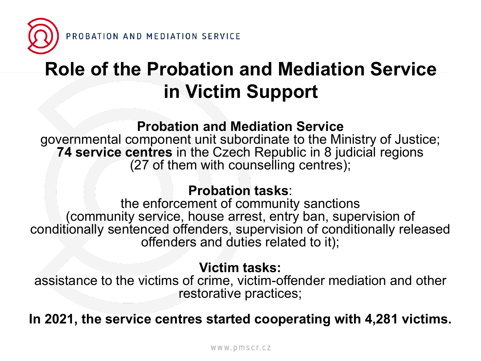

### **Role of the Probation and Mediation Service in Victim Support**

### **Probation and Mediation Service**

governmental component unit subordinate to the Ministry of Justice; **74 service centres** in the Czech Republic in 8 judicial regions (27 of them with counselling centres);

### **Probation tasks**:

the enforcement of community sanctions (community service, house arrest, entry ban, supervision of conditionally sentenced offenders, supervision of conditionally released offenders and duties related to it);

### **Victim tasks:**

assistance to the victims of crime, victim-offender mediation and other restorative practices;

**In 2021, the service centres started cooperating with 4,281 victims.**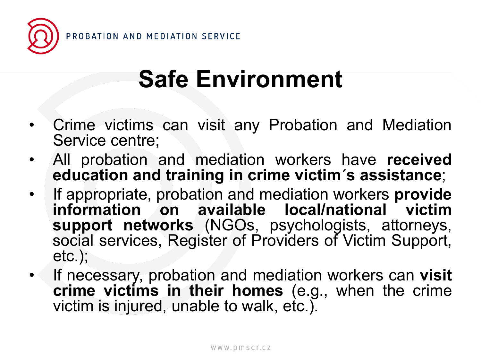

## **Safe Environment**

- Crime victims can visit any Probation and Mediation Service centre;
- All probation and mediation workers have **received education and training in crime victim´s assistance**;
- If appropriate, probation and mediation workers **provide information on available local/national victim support networks** (NGOs, psychologists, attorneys, social services, Register of Providers of Victim Support, etc.);
- If necessary, probation and mediation workers can **visit crime victims in their homes** (e.g., when the crime victim is injured, unable to walk, etc.).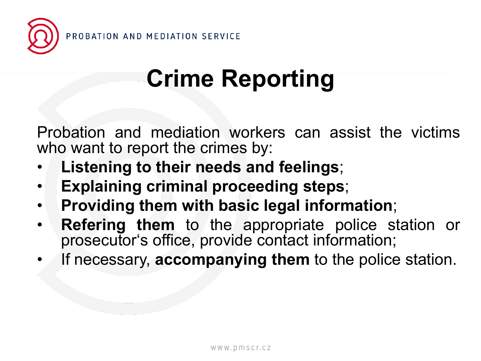

## **Crime Reporting**

Probation and mediation workers can assist the victims who want to report the crimes by:

- **Listening to their needs and feelings**;
- **Explaining criminal proceeding steps**;
- **Providing them with basic legal information**;
- **Refering them** to the appropriate police station or prosecutor's office, provide contact information;
- If necessary, **accompanying them** to the police station.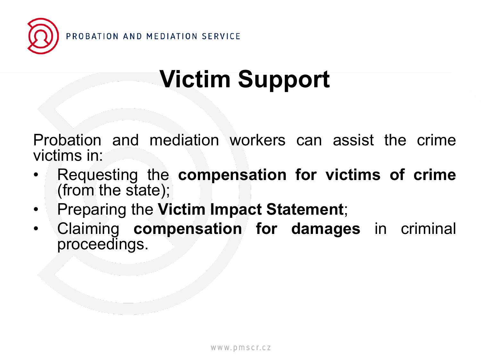

## **Victim Support**

Probation and mediation workers can assist the crime victims in:

- Requesting the **compensation for victims of crime** (from the state);
- Preparing the **Victim Impact Statement**;
- Claiming **compensation for damages** in criminal proceedings.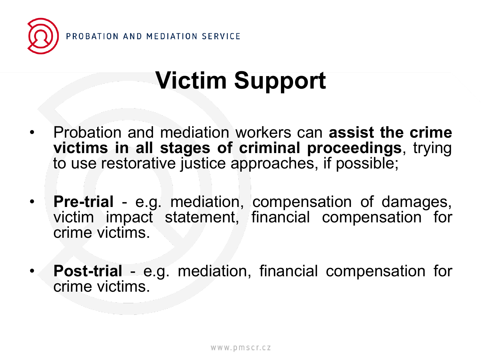

### **Victim Support**

- Probation and mediation workers can **assist the crime victims in all stages of criminal proceedings**, trying to use restorative justice approaches, if possible;
- **Pre-trial** e.g. mediation, compensation of damages, victim impact statement, financial compensation for crime victims.
- **Post-trial** e.g. mediation, financial compensation for crime victims.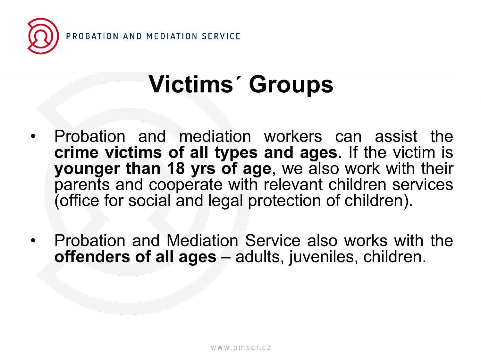

### **Victims´ Groups**

- Probation and mediation workers can assist the **crime victims of all types and ages**. If the victim is **younger than 18 yrs of age**, we also work with their parents and cooperate with relevant children services (office for social and legal protection of children).
- Probation and Mediation Service also works with the **offenders of all ages** – adults, juveniles, children.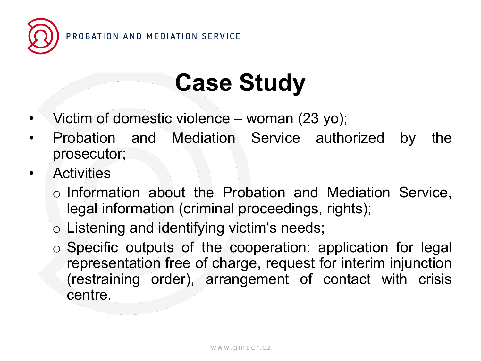

## **Case Study**

- Victim of domestic violence woman (23 yo);
- Probation and Mediation Service authorized by the prosecutor;
- **Activities** 
	- o Information about the Probation and Mediation Service, legal information (criminal proceedings, rights);
	- o Listening and identifying victim's needs;
	- o Specific outputs of the cooperation: application for legal representation free of charge, request for interim injunction (restraining order), arrangement of contact with crisis centre.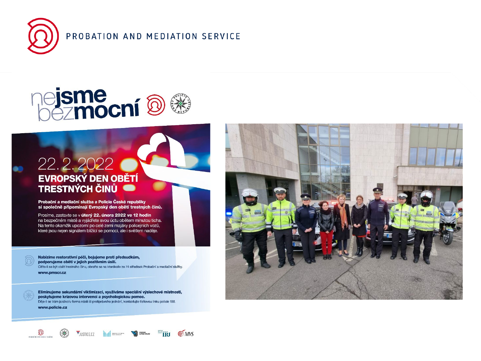

R

 $\circledcirc$ 

 $\left( \frac{1}{N} \right)$ 

PROBATION AND MEDIATION SERVICE

# **ejsme<br>hezmocní ® ®**

# 22. 2. 2022<br>EVROPSKÝ DEN OBĚTÍ<br>TRESTNÝCH ČINŮ

Probační a mediační služba a Policie České republiky si společně připomínají Evropský den obětí trestných činů.

Prosíme, zastavte se v úterý 22. února 2022 ve 12 hodin na bezpečném místě a vyjádřete svou úctu obětem minutou ticha. Na tento okamžik upozorní po celé zemi majáky policejních vozů, které jsou nejen signálem blížící se pomoci, ale i světlem naděje.

Nabízíme restorativní péči, bojujeme proti předsudkům, podporujeme oběti v jejich pozitivním úsilí. Cítite-li se být obětí trestného činu, obratte se na kterékoliv ze 74 středisek Probační a mediační služby. www.pmscr.cz

Eliminujeme sekundární viktimizaci, využíváme speciální výslechové místnosti, poskytujeme krizovou intervenci a psychologickou pomoc. Děje-li se Vám jakákoliv forma násilí či protiprávního jednání, kontaktujte tísňovou linku policie 158. www.policie.cz

VJUSTICE.CZ **That I was a serious** 

 $T = \overline{IR}$ 

**B** MVS